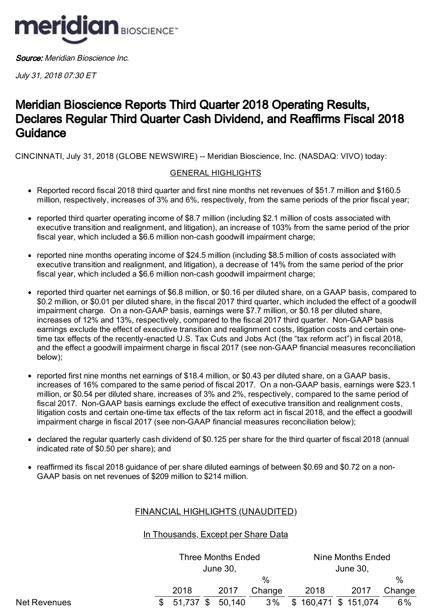

Source: Meridian Bioscience Inc.

July 31, 2018 07:30 ET

# Meridian Bioscience Reports Third Quarter 2018 Operating Results, Declares Regular Third Quarter Cash Dividend, and Reaffirms Fiscal 2018 **Guidance**

CINCINNATI, July 31, 2018 (GLOBE NEWSWIRE) -- Meridian Bioscience, Inc. (NASDAQ: VIVO) today:

## GENERAL HIGHLIGHTS

- Reported record fiscal 2018 third quarter and first nine months net revenues of \$51.7 million and \$160.5 million, respectively, increases of 3% and 6%, respectively, from the same periods of the prior fiscal year;
- reported third quarter operating income of \$8.7 million (including \$2.1 million of costs associated with executive transition and realignment, and litigation), an increase of 103% from the same period of the prior fiscal year, which included a \$6.6 million non-cash goodwill impairment charge;
- reported nine months operating income of \$24.5 million (including \$8.5 million of costs associated with executive transition and realignment, and litigation), a decrease of 14% from the same period of the prior fiscal year, which included a \$6.6 million non-cash goodwill impairment charge;
- reported third quarter net earnings of \$6.8 million, or \$0.16 per diluted share, on a GAAP basis, compared to \$0.2 million, or \$0.01 per diluted share, in the fiscal 2017 third quarter, which included the effect of a goodwill impairment charge. On a non-GAAP basis, earnings were \$7.7 million, or \$0.18 per diluted share, increases of 12% and 13%, respectively, compared to the fiscal 2017 third quarter. Non-GAAP basis earnings exclude the effect of executive transition and realignment costs, litigation costs and certain onetime tax effects of the recently-enacted U.S. Tax Cuts and Jobs Act (the "tax reform act") in fiscal 2018, and the effect a goodwill impairment charge in fiscal 2017 (see non-GAAP financial measures reconciliation below);
- reported first nine months net earnings of \$18.4 million, or \$0.43 per diluted share, on a GAAP basis, increases of 16% compared to the same period of fiscal 2017. On a non-GAAP basis, earnings were \$23.1 million, or \$0.54 per diluted share, increases of 3% and 2%, respectively, compared to the same period of fiscal 2017. Non-GAAP basis earnings exclude the effect of executive transition and realignment costs, litigation costs and certain one-time tax effects of the tax reform act in fiscal 2018, and the effect a goodwill impairment charge in fiscal 2017 (see non-GAAP financial measures reconciliation below);
- declared the regular quarterly cash dividend of \$0.125 per share for the third quarter of fiscal 2018 (annual indicated rate of \$0.50 per share); and
- reaffirmed its fiscal 2018 guidance of per share diluted earnings of between \$0.69 and \$0.72 on a non-GAAP basis on net revenues of \$209 million to \$214 million.

# FINANCIAL HIGHLIGHTS (UNAUDITED)

# In Thousands, Except per Share Data

|              | Nine Months Ended<br><b>Three Months Ended</b><br>June 30,<br>June 30,<br>$\%$<br>2018<br>2018<br>2017<br>2017<br>Change |  |  |  |  |  |  |                        |        |
|--------------|--------------------------------------------------------------------------------------------------------------------------|--|--|--|--|--|--|------------------------|--------|
|              |                                                                                                                          |  |  |  |  |  |  |                        |        |
|              |                                                                                                                          |  |  |  |  |  |  |                        | %      |
|              |                                                                                                                          |  |  |  |  |  |  |                        | Change |
| Net Revenues | $$51,737$ \$ 50,140                                                                                                      |  |  |  |  |  |  | 3% \$160,471 \$151,074 | 6%     |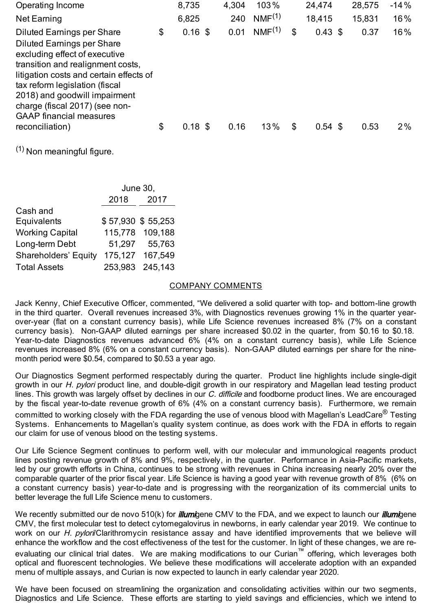| Operating Income                                                                                                                                                                                                                                                                                                               | 8,735           | 4,304 | 103%               | 24,474          | 28,575 | $-14%$ |
|--------------------------------------------------------------------------------------------------------------------------------------------------------------------------------------------------------------------------------------------------------------------------------------------------------------------------------|-----------------|-------|--------------------|-----------------|--------|--------|
| Net Earning                                                                                                                                                                                                                                                                                                                    | 6,825           | 240   | NMF <sup>(1)</sup> | 18,415          | 15,831 | 16%    |
| <b>Diluted Earnings per Share</b><br><b>Diluted Earnings per Share</b><br>excluding effect of executive<br>transition and realignment costs,<br>litigation costs and certain effects of<br>tax reform legislation (fiscal<br>2018) and goodwill impairment<br>charge (fiscal 2017) (see non-<br><b>GAAP</b> financial measures | \$<br>$0.16$ \$ | 0.01  | NMF <sup>(1)</sup> | \$<br>0.43~\$   | 0.37   | 16%    |
| reconciliation)                                                                                                                                                                                                                                                                                                                | \$<br>$0.18$ \$ | 0.16  | 13%                | \$<br>$0.54$ \$ | 0.53   | $2\%$  |

(1) Non meaningful figure.

| June 30, |                   |  |  |  |  |
|----------|-------------------|--|--|--|--|
| 2018     | 2017              |  |  |  |  |
|          |                   |  |  |  |  |
|          | \$57,930 \$55,253 |  |  |  |  |
|          | 115,778 109,188   |  |  |  |  |
|          | 51,297 55,763     |  |  |  |  |
|          | 175,127 167,549   |  |  |  |  |
|          | 253,983 245,143   |  |  |  |  |
|          |                   |  |  |  |  |

#### COMPANY COMMENTS

Jack Kenny, Chief Executive Officer, commented, "We delivered a solid quarter with top- and bottom-line growth in the third quarter. Overall revenues increased 3%, with Diagnostics revenues growing 1% in the quarter yearover-year (flat on a constant currency basis), while Life Science revenues increased 8% (7% on a constant currency basis). Non-GAAP diluted earnings per share increased \$0.02 in the quarter, from \$0.16 to \$0.18. Year-to-date Diagnostics revenues advanced 6% (4% on a constant currency basis), while Life Science revenues increased 8% (6% on a constant currency basis). Non-GAAP diluted earnings per share for the ninemonth period were \$0.54, compared to \$0.53 a year ago.

Our Diagnostics Segment performed respectably during the quarter. Product line highlights include single-digit growth in our H. pylori product line, and double-digit growth in our respiratory and Magellan lead testing product lines. This growth was largely offset by declines in our C. difficile and foodborne product lines. We are encouraged by the fiscal year-to-date revenue growth of 6% (4% on a constant currency basis). Furthermore, we remain committed to working closely with the FDA regarding the use of venous blood with Magellan's LeadCare $^\circledR$  Testing Systems. Enhancements to Magellan's quality system continue, as does work with the FDA in efforts to regain our claim for use of venous blood on the testing systems.

Our Life Science Segment continues to perform well, with our molecular and immunological reagents product lines posting revenue growth of 8% and 9%, respectively, in the quarter. Performance in Asia-Pacific markets, led by our growth efforts in China, continues to be strong with revenues in China increasing nearly 20% over the comparable quarter of the prior fiscal year. Life Science is having a good year with revenue growth of 8% (6% on a constant currency basis) year-to-date and is progressing with the reorganization of its commercial units to better leverage the full Life Science menu to customers.

We recently submitted our de novo 510(k) for *illumi*gene CMV to the FDA, and we expect to launch our *illumi*gene CMV, the first molecular test to detect cytomegalovirus in newborns, in early calendar year 2019. We continue to work on our H. pylori/Clarithromycin resistance assay and have identified improvements that we believe will enhance the workflow and the cost effectiveness of the test for the customer. In light of these changes, we are reevaluating our clinical trial dates. We are making modifications to our Curian™ offering, which leverages both optical and fluorescent technologies. We believe these modifications will accelerate adoption with an expanded menu of multiple assays, and Curian is now expected to launch in early calendar year 2020.

We have been focused on streamlining the organization and consolidating activities within our two segments, Diagnostics and Life Science. These efforts are starting to yield savings and efficiencies, which we intend to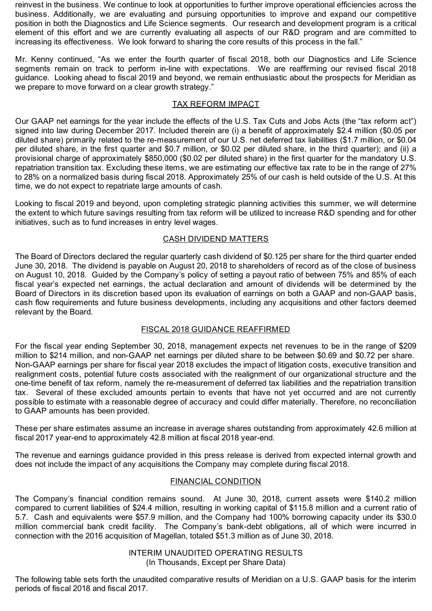reinvest in the business. We continue to look at opportunities to further improve operational efficiencies across the business. Additionally, we are evaluating and pursuing opportunities to improve and expand our competitive position in both the Diagnostics and Life Science segments. Our research and development program is a critical element of this effort and we are currently evaluating all aspects of our R&D program and are committed to increasing its effectiveness. We look forward to sharing the core results of this process in the fall."

Mr. Kenny continued, "As we enter the fourth quarter of fiscal 2018, both our Diagnostics and Life Science segments remain on track to perform in-line with expectations. We are reaffirming our revised fiscal 2018 guidance. Looking ahead to fiscal 2019 and beyond, we remain enthusiastic about the prospects for Meridian as we prepare to move forward on a clear growth strategy."

## TAX REFORM IMPACT

Our GAAP net earnings for the year include the effects of the U.S. Tax Cuts and Jobs Acts (the "tax reform act") signed into law during December 2017. Included therein are (i) a benefit of approximately \$2.4 million (\$0.05 per diluted share) primarily related to the re-measurement of our U.S. net deferred tax liabilities (\$1.7 million, or \$0.04 per diluted share, in the first quarter and \$0.7 million, or \$0.02 per diluted share, in the third quarter); and (ii) a provisional charge of approximately \$850,000 (\$0.02 per diluted share) in the first quarter for the mandatory U.S. repatriation transition tax. Excluding these items, we are estimating our effective tax rate to be in the range of 27% to 28% on a normalized basis during fiscal 2018. Approximately 25% of our cash is held outside of the U.S. At this time, we do not expect to repatriate large amounts of cash.

Looking to fiscal 2019 and beyond, upon completing strategic planning activities this summer, we will determine the extent to which future savings resulting from tax reform will be utilized to increase R&D spending and for other initiatives, such as to fund increases in entry level wages.

## CASH DIVIDEND MATTERS

The Board of Directors declared the regular quarterly cash dividend of \$0.125 per share for the third quarter ended June 30, 2018. The dividend is payable on August 20, 2018 to shareholders of record as of the close of business on August 10, 2018. Guided by the Company's policy of setting a payout ratio of between 75% and 85% of each fiscal year's expected net earnings, the actual declaration and amount of dividends will be determined by the Board of Directors in its discretion based upon its evaluation of earnings on both a GAAP and non-GAAP basis, cash flow requirements and future business developments, including any acquisitions and other factors deemed relevant by the Board.

## FISCAL 2018 GUIDANCE REAFFIRMED

For the fiscal year ending September 30, 2018, management expects net revenues to be in the range of \$209 million to \$214 million, and non-GAAP net earnings per diluted share to be between \$0.69 and \$0.72 per share. Non-GAAP earnings per share for fiscal year 2018 excludes the impact of litigation costs, executive transition and realignment costs, potential future costs associated with the realignment of our organizational structure and the one-time benefit of tax reform, namely the re-measurement of deferred tax liabilities and the repatriation transition tax. Several of these excluded amounts pertain to events that have not yet occurred and are not currently possible to estimate with a reasonable degree of accuracy and could differ materially. Therefore, no reconciliation to GAAP amounts has been provided.

These per share estimates assume an increase in average shares outstanding from approximately 42.6 million at fiscal 2017 year-end to approximately 42.8 million at fiscal 2018 year-end.

The revenue and earnings guidance provided in this press release is derived from expected internal growth and does not include the impact of any acquisitions the Company may complete during fiscal 2018.

### FINANCIAL CONDITION

The Company's financial condition remains sound. At June 30, 2018, current assets were \$140.2 million compared to current liabilities of \$24.4 million, resulting in working capital of \$115.8 million and a current ratio of 5.7. Cash and equivalents were \$57.9 million, and the Company had 100% borrowing capacity under its \$30.0 million commercial bank credit facility. The Company's bank-debt obligations, all of which were incurred in connection with the 2016 acquisition of Magellan, totaled \$51.3 million as of June 30, 2018.

> INTERIM UNAUDITED OPERATING RESULTS (In Thousands, Except per Share Data)

The following table sets forth the unaudited comparative results of Meridian on a U.S. GAAP basis for the interim periods of fiscal 2018 and fiscal 2017.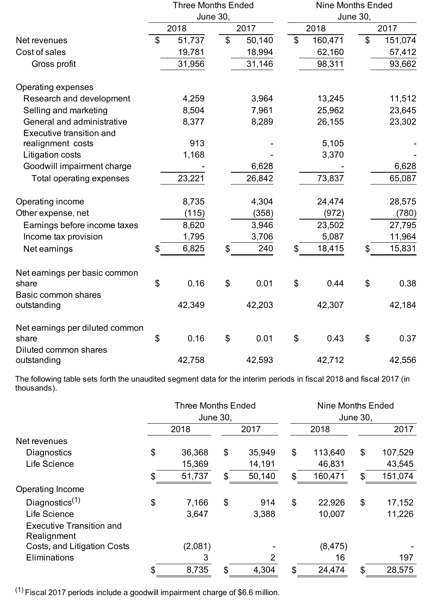|                                                               |                | <b>Three Months Ended</b> |                |        | <b>Nine Months Ended</b>  |         |                           |         |  |  |  |
|---------------------------------------------------------------|----------------|---------------------------|----------------|--------|---------------------------|---------|---------------------------|---------|--|--|--|
|                                                               |                | <b>June 30,</b>           |                |        |                           |         | <b>June 30,</b>           |         |  |  |  |
|                                                               |                | 2018                      |                | 2017   |                           | 2018    |                           | 2017    |  |  |  |
| Net revenues                                                  | $\mathbb{S}$   | 51,737                    | $\mathbb{S}$   | 50,140 | $\boldsymbol{\mathsf{S}}$ | 160,471 | $\mathcal{L}$             | 151,074 |  |  |  |
| Cost of sales                                                 |                | 19,781                    |                | 18,994 |                           | 62,160  |                           | 57,412  |  |  |  |
| Gross profit                                                  |                | 31,956                    |                | 31,146 |                           | 98,311  |                           | 93,662  |  |  |  |
| <b>Operating expenses</b>                                     |                |                           |                |        |                           |         |                           |         |  |  |  |
| Research and development                                      |                | 4,259                     |                | 3,964  |                           | 13,245  |                           | 11,512  |  |  |  |
| Selling and marketing                                         |                | 8,504                     |                | 7,961  |                           | 25,962  |                           | 23,645  |  |  |  |
| General and administrative<br><b>Executive transition and</b> |                | 8,377                     |                | 8,289  |                           | 26,155  |                           | 23,302  |  |  |  |
| realignment costs                                             |                | 913                       |                |        |                           | 5,105   |                           |         |  |  |  |
| Litigation costs                                              |                | 1,168                     |                |        |                           | 3,370   |                           |         |  |  |  |
| Goodwill impairment charge                                    |                |                           |                | 6,628  |                           |         |                           | 6,628   |  |  |  |
| Total operating expenses                                      |                | 23,221                    |                | 26,842 |                           | 73,837  |                           | 65,087  |  |  |  |
| Operating income                                              |                | 8,735                     |                | 4,304  |                           | 24,474  |                           | 28,575  |  |  |  |
| Other expense, net                                            |                | (115)                     |                | (358)  |                           | (972)   |                           | (780)   |  |  |  |
| Earnings before income taxes                                  |                | 8,620                     |                | 3,946  |                           | 23,502  |                           | 27,795  |  |  |  |
| Income tax provision                                          |                | 1,795                     |                | 3,706  |                           | 5,087   |                           | 11,964  |  |  |  |
| Net earnings                                                  | \$             | 6,825                     | \$             | 240    | \$                        | 18,415  |                           | 15,831  |  |  |  |
| Net earnings per basic common                                 |                |                           |                |        |                           |         |                           |         |  |  |  |
| share                                                         | $\mathfrak{S}$ | 0.16                      | $\mathfrak{S}$ | 0.01   | $\boldsymbol{\mathsf{S}}$ | 0.44    | $\mathfrak{S}$            | 0.38    |  |  |  |
| <b>Basic common shares</b>                                    |                |                           |                |        |                           |         |                           |         |  |  |  |
| outstanding                                                   |                | 42,349                    |                | 42,203 |                           | 42,307  |                           | 42,184  |  |  |  |
| Net earnings per diluted common                               |                |                           |                |        |                           |         |                           |         |  |  |  |
| share                                                         | \$             | 0.16                      | \$             | 0.01   | \$                        | 0.43    | $\boldsymbol{\mathsf{S}}$ | 0.37    |  |  |  |
| Diluted common shares<br>outstanding                          |                | 42,758                    |                | 42,593 |                           | 42,712  |                           | 42,556  |  |  |  |

The following table sets forth the unaudited segment data for the interim periods in fiscal 2018 and fiscal 2017 (in thousands).

|                                                |                           | <b>Three Months Ended</b><br>June 30, |                           |                | Nine Months Ended<br>June 30, |          |    |         |  |  |
|------------------------------------------------|---------------------------|---------------------------------------|---------------------------|----------------|-------------------------------|----------|----|---------|--|--|
|                                                |                           | 2018                                  |                           | 2017           |                               | 2018     |    | 2017    |  |  |
| Net revenues                                   |                           |                                       |                           |                |                               |          |    |         |  |  |
| <b>Diagnostics</b>                             | \$                        | 36,368                                | $\boldsymbol{\mathsf{S}}$ | 35,949         | \$                            | 113,640  | \$ | 107,529 |  |  |
| Life Science                                   |                           | 15,369                                |                           | 14,191         |                               | 46,831   |    | 43,545  |  |  |
|                                                | $\mathfrak{S}$            | 51,737                                | \$                        | 50,140         | $\mathcal{L}$                 | 160,471  | \$ | 151,074 |  |  |
| Operating Income                               |                           |                                       |                           |                |                               |          |    |         |  |  |
| Diagnostics $(1)$                              | $\boldsymbol{\mathsf{S}}$ | 7,166                                 | \$                        | 914            | \$                            | 22,926   | \$ | 17,152  |  |  |
| Life Science                                   |                           | 3,647                                 |                           | 3,388          |                               | 10,007   |    | 11,226  |  |  |
| <b>Executive Transition and</b><br>Realignment |                           |                                       |                           |                |                               |          |    |         |  |  |
| Costs, and Litigation Costs                    |                           | (2,081)                               |                           |                |                               | (8, 475) |    |         |  |  |
| Eliminations                                   |                           | 3                                     |                           | $\overline{2}$ |                               | 16       |    | 197     |  |  |
|                                                | \$                        | 8,735                                 | \$                        | 4,304          | \$                            | 24,474   | \$ | 28,575  |  |  |

 $(1)$  Fiscal 2017 periods include a goodwill impairment charge of \$6.6 million.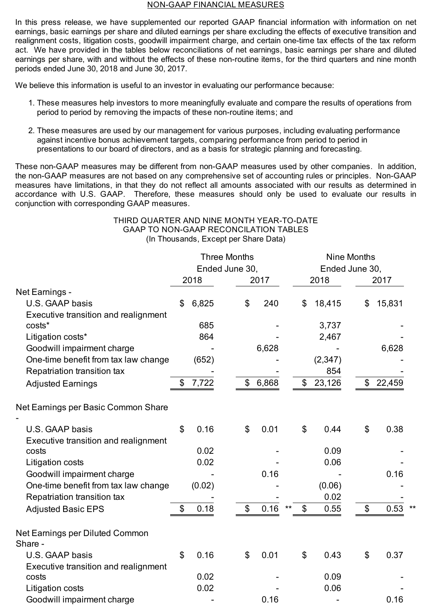#### NON-GAAP FINANCIAL MEASURES

In this press release, we have supplemented our reported GAAP financial information with information on net earnings, basic earnings per share and diluted earnings per share excluding the effects of executive transition and realignment costs, litigation costs, goodwill impairment charge, and certain one-time tax effects of the tax reform act. We have provided in the tables below reconciliations of net earnings, basic earnings per share and diluted earnings per share, with and without the effects of these non-routine items, for the third quarters and nine month periods ended June 30, 2018 and June 30, 2017.

We believe this information is useful to an investor in evaluating our performance because:

- 1. These measures help investors to more meaningfully evaluate and compare the results of operations from period to period by removing the impacts of these non-routine items; and
- 2. These measures are used by our management for various purposes, including evaluating performance against incentive bonus achievement targets, comparing performance from period to period in presentations to our board of directors, and as a basis for strategic planning and forecasting.

These non-GAAP measures may be different from non-GAAP measures used by other companies. In addition, the non-GAAP measures are not based on any comprehensive set of accounting rules or principles. Non-GAAP measures have limitations, in that they do not reflect all amounts associated with our results as determined in accordance with U.S. GAAP. Therefore, these measures should only be used to evaluate our results in conjunction with corresponding GAAP measures.

### THIRD QUARTER AND NINE MONTH YEAR-TO-DATE GAAP TO NON-GAAP RECONCILATION TABLES (In Thousands, Except per Share Data)

|                                            | <b>Three Months</b> |        |                |               |       |                         | <b>Nine Months</b> |              |                |  |  |  |
|--------------------------------------------|---------------------|--------|----------------|---------------|-------|-------------------------|--------------------|--------------|----------------|--|--|--|
|                                            |                     |        | Ended June 30, |               |       |                         |                    |              | Ended June 30, |  |  |  |
|                                            |                     | 2018   |                | 2017          |       |                         | 2018               |              | 2017           |  |  |  |
| Net Earnings -                             |                     |        |                |               |       |                         |                    |              |                |  |  |  |
| U.S. GAAP basis                            | \$                  | 6,825  |                | \$            | 240   | \$                      | 18,415             | \$           | 15,831         |  |  |  |
| Executive transition and realignment       |                     |        |                |               |       |                         |                    |              |                |  |  |  |
| costs*                                     |                     | 685    |                |               |       |                         | 3,737              |              |                |  |  |  |
| Litigation costs*                          |                     | 864    |                |               |       |                         | 2,467              |              |                |  |  |  |
| Goodwill impairment charge                 |                     |        |                |               | 6,628 |                         |                    |              | 6,628          |  |  |  |
| One-time benefit from tax law change       |                     | (652)  |                |               |       |                         | (2, 347)           |              |                |  |  |  |
| Repatriation transition tax                |                     |        |                |               |       |                         | 854                |              |                |  |  |  |
| <b>Adjusted Earnings</b>                   | \$                  | 7,722  |                | $\$\$         | 6,868 | \$                      | 23,126             | \$           | 22,459         |  |  |  |
| Net Earnings per Basic Common Share        |                     |        |                |               |       |                         |                    |              |                |  |  |  |
| U.S. GAAP basis                            | $\mathfrak{S}$      | 0.16   |                | \$            | 0.01  | $\mathcal{L}$           | 0.44               | \$           | 0.38           |  |  |  |
| Executive transition and realignment       |                     |        |                |               |       |                         |                    |              |                |  |  |  |
| costs                                      |                     | 0.02   |                |               |       |                         | 0.09               |              |                |  |  |  |
| Litigation costs                           |                     | 0.02   |                |               |       |                         | 0.06               |              |                |  |  |  |
| Goodwill impairment charge                 |                     |        |                |               | 0.16  |                         |                    |              | 0.16           |  |  |  |
| One-time benefit from tax law change       |                     | (0.02) |                |               |       |                         | (0.06)             |              |                |  |  |  |
| Repatriation transition tax                |                     |        |                |               |       |                         | 0.02               |              |                |  |  |  |
| <b>Adjusted Basic EPS</b>                  | \$                  | 0.18   |                | $\mathcal{S}$ | 0.16  | $\mathfrak{S}$<br>$***$ | 0.55               | $\mathbb{S}$ | 0.53           |  |  |  |
| Net Earnings per Diluted Common<br>Share - |                     |        |                |               |       |                         |                    |              |                |  |  |  |
| U.S. GAAP basis                            | $\mathfrak{S}$      | 0.16   |                | \$            | 0.01  | \$                      | 0.43               | \$           | 0.37           |  |  |  |
| Executive transition and realignment       |                     |        |                |               |       |                         |                    |              |                |  |  |  |
| costs                                      |                     | 0.02   |                |               |       |                         | 0.09               |              |                |  |  |  |
| Litigation costs                           |                     | 0.02   |                |               |       |                         | 0.06               |              |                |  |  |  |
| Goodwill impairment charge                 |                     |        |                |               | 0.16  |                         |                    |              | 0.16           |  |  |  |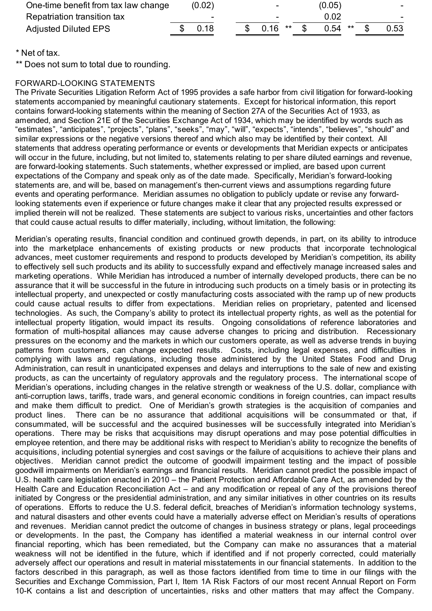| One-time benefit from tax law change | (0.02) |  | $\overline{\phantom{0}}$ |  | (0.05)    |  |        |
|--------------------------------------|--------|--|--------------------------|--|-----------|--|--------|
| Repatriation transition tax          | -      |  | -                        |  | 0.02      |  | $\sim$ |
| <b>Adjusted Diluted EPS</b>          | \$0.18 |  | $0.16$ **                |  | $0.54$ ** |  | 0.53   |

\* Net of tax.

\*\* Does not sum to total due to rounding.

## FORWARD-LOOKING STATEMENTS

The Private Securities Litigation Reform Act of 1995 provides a safe harbor from civil litigation for forward-looking statements accompanied by meaningful cautionary statements. Except for historical information, this report contains forward-looking statements within the meaning of Section 27A of the Securities Act of 1933, as amended, and Section 21E of the Securities Exchange Act of 1934, which may be identified by words such as "estimates", "anticipates", "projects", "plans", "seeks", "may", "will", "expects", "intends", "believes", "should" and similar expressions or the negative versions thereof and which also may be identified by their context. All statements that address operating performance or events or developments that Meridian expects or anticipates will occur in the future, including, but not limited to, statements relating to per share diluted earnings and revenue, are forward-looking statements. Such statements, whether expressed or implied, are based upon current expectations of the Company and speak only as of the date made. Specifically, Meridian's forward-looking statements are, and will be, based on management's then-current views and assumptions regarding future events and operating performance. Meridian assumes no obligation to publicly update or revise any forwardlooking statements even if experience or future changes make it clear that any projected results expressed or implied therein will not be realized. These statements are subject to various risks, uncertainties and other factors that could cause actual results to differ materially, including, without limitation, the following:

Meridian's operating results, financial condition and continued growth depends, in part, on its ability to introduce into the marketplace enhancements of existing products or new products that incorporate technological advances, meet customer requirements and respond to products developed by Meridian's competition, its ability to effectively sell such products and its ability to successfully expand and effectively manage increased sales and marketing operations. While Meridian has introduced a number of internally developed products, there can be no assurance that it will be successful in the future in introducing such products on a timely basis or in protecting its intellectual property, and unexpected or costly manufacturing costs associated with the ramp up of new products could cause actual results to differ from expectations. Meridian relies on proprietary, patented and licensed technologies. As such, the Company's ability to protect its intellectual property rights, as well as the potential for intellectual property litigation, would impact its results. Ongoing consolidations of reference laboratories and formation of multi-hospital alliances may cause adverse changes to pricing and distribution. Recessionary pressures on the economy and the markets in which our customers operate, as well as adverse trends in buying patterns from customers, can change expected results. Costs, including legal expenses, and difficulties in complying with laws and regulations, including those administered by the United States Food and Drug Administration, can result in unanticipated expenses and delays and interruptions to the sale of new and existing products, as can the uncertainty of regulatory approvals and the regulatory process. The international scope of Meridian's operations, including changes in the relative strength or weakness of the U.S. dollar, compliance with anti-corruption laws, tariffs, trade wars, and general economic conditions in foreign countries, can impact results and make them difficult to predict. One of Meridian's growth strategies is the acquisition of companies and product lines. There can be no assurance that additional acquisitions will be consummated or that, if consummated, will be successful and the acquired businesses will be successfully integrated into Meridian's operations. There may be risks that acquisitions may disrupt operations and may pose potential difficulties in employee retention, and there may be additional risks with respect to Meridian's ability to recognize the benefits of acquisitions, including potential synergies and cost savings or the failure of acquisitions to achieve their plans and objectives. Meridian cannot predict the outcome of goodwill impairment testing and the impact of possible goodwill impairments on Meridian's earnings and financial results. Meridian cannot predict the possible impact of U.S. health care legislation enacted in 2010 – the Patient Protection and Affordable Care Act, as amended by the Health Care and Education Reconciliation Act – and any modification or repeal of any of the provisions thereof initiated by Congress or the presidential administration, and any similar initiatives in other countries on its results of operations. Efforts to reduce the U.S. federal deficit, breaches of Meridian's information technology systems, and natural disasters and other events could have a materially adverse effect on Meridian's results of operations and revenues. Meridian cannot predict the outcome of changes in business strategy or plans, legal proceedings or developments. In the past, the Company has identified a material weakness in our internal control over financial reporting, which has been remediated, but the Company can make no assurances that a material weakness will not be identified in the future, which if identified and if not properly corrected, could materially adversely affect our operations and result in material misstatements in our financial statements. In addition to the factors described in this paragraph, as well as those factors identified from time to time in our filings with the Securities and Exchange Commission, Part I, Item 1A Risk Factors of our most recent Annual Report on Form 10-K contains a list and description of uncertainties, risks and other matters that may affect the Company.